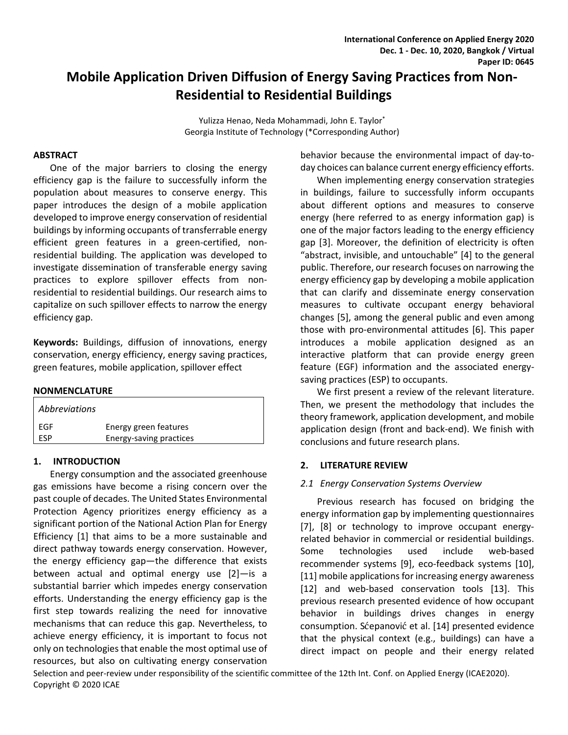# **Mobile Application Driven Diffusion of Energy Saving Practices from Non-Residential to Residential Buildings**

Yulizza Henao, Neda Mohammadi, John E. Taylor\* Georgia Institute of Technology (\*Corresponding Author)

#### **ABSTRACT**

One of the major barriers to closing the energy efficiency gap is the failure to successfully inform the population about measures to conserve energy. This paper introduces the design of a mobile application developed to improve energy conservation of residential buildings by informing occupants of transferrable energy efficient green features in a green-certified, nonresidential building. The application was developed to investigate dissemination of transferable energy saving practices to explore spillover effects from nonresidential to residential buildings. Our research aims to capitalize on such spillover effects to narrow the energy efficiency gap.

**Keywords:** Buildings, diffusion of innovations, energy conservation, energy efficiency, energy saving practices, green features, mobile application, spillover effect

#### **NONMENCLATURE**

| <b>Abbreviations</b> |                         |  |
|----------------------|-------------------------|--|
| FGF                  | Energy green features   |  |
| FSP                  | Energy-saving practices |  |

#### **1. INTRODUCTION**

Energy consumption and the associated greenhouse gas emissions have become a rising concern over the past couple of decades. The United States Environmental Protection Agency prioritizes energy efficiency as a significant portion of the National Action Plan for Energy Efficiency [1] that aims to be a more sustainable and direct pathway towards energy conservation. However, the energy efficiency gap—the difference that exists between actual and optimal energy use [2]—is a substantial barrier which impedes energy conservation efforts. Understanding the energy efficiency gap is the first step towards realizing the need for innovative mechanisms that can reduce this gap. Nevertheless, to achieve energy efficiency, it is important to focus not only on technologies that enable the most optimal use of resources, but also on cultivating energy conservation

behavior because the environmental impact of day-today choices can balance current energy efficiency efforts.

When implementing energy conservation strategies in buildings, failure to successfully inform occupants about different options and measures to conserve energy (here referred to as energy information gap) is one of the major factors leading to the energy efficiency gap [3]. Moreover, the definition of electricity is often "abstract, invisible, and untouchable" [4] to the general public. Therefore, our research focuses on narrowing the energy efficiency gap by developing a mobile application that can clarify and disseminate energy conservation measures to cultivate occupant energy behavioral changes [5], among the general public and even among those with pro-environmental attitudes [6]. This paper introduces a mobile application designed as an interactive platform that can provide energy green feature (EGF) information and the associated energysaving practices (ESP) to occupants.

We first present a review of the relevant literature. Then, we present the methodology that includes the theory framework, application development, and mobile application design (front and back-end). We finish with conclusions and future research plans.

# **2. LITERATURE REVIEW**

# *2.1 Energy Conservation Systems Overview*

Previous research has focused on bridging the energy information gap by implementing questionnaires [7], [8] or technology to improve occupant energyrelated behavior in commercial or residential buildings. Some technologies used include web-based recommender systems [9], eco-feedback systems [10], [11] mobile applications for increasing energy awareness [12] and web-based conservation tools [13]. This previous research presented evidence of how occupant behavior in buildings drives changes in energy consumption. Sćepanović et al. [14] presented evidence that the physical context (e.g., buildings) can have a direct impact on people and their energy related

Selection and peer-review under responsibility of the scientific committee of the 12th Int. Conf. on Applied Energy (ICAE2020). Copyright © 2020 ICAE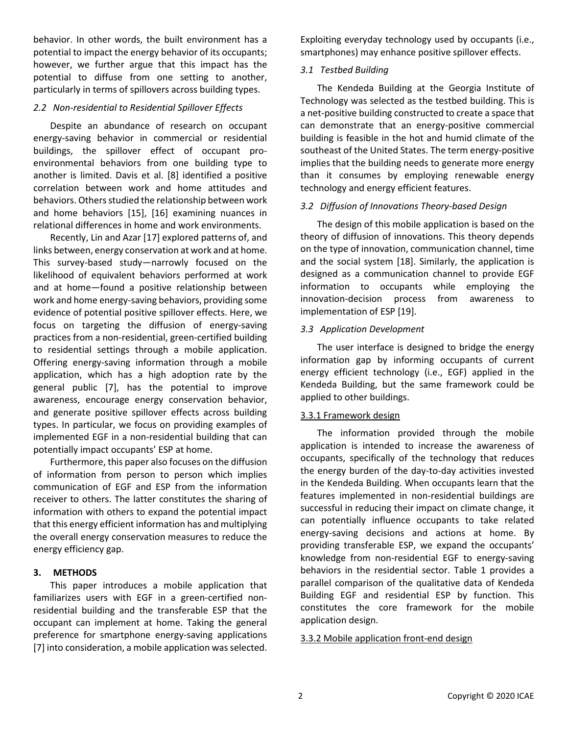behavior. In other words, the built environment has a potential to impact the energy behavior of its occupants; however, we further argue that this impact has the potential to diffuse from one setting to another, particularly in terms of spillovers across building types.

# *2.2 Non-residential to Residential Spillover Effects*

Despite an abundance of research on occupant energy-saving behavior in commercial or residential buildings, the spillover effect of occupant proenvironmental behaviors from one building type to another is limited. Davis et al. [8] identified a positive correlation between work and home attitudes and behaviors. Others studied the relationship between work and home behaviors [15], [16] examining nuances in relational differences in home and work environments.

Recently, Lin and Azar [17] explored patterns of, and links between, energy conservation at work and at home. This survey-based study—narrowly focused on the likelihood of equivalent behaviors performed at work and at home—found a positive relationship between work and home energy-saving behaviors, providing some evidence of potential positive spillover effects. Here, we focus on targeting the diffusion of energy-saving practices from a non-residential, green-certified building to residential settings through a mobile application. Offering energy-saving information through a mobile application, which has a high adoption rate by the general public [7], has the potential to improve awareness, encourage energy conservation behavior, and generate positive spillover effects across building types. In particular, we focus on providing examples of implemented EGF in a non-residential building that can potentially impact occupants' ESP at home.

Furthermore, this paper also focuses on the diffusion of information from person to person which implies communication of EGF and ESP from the information receiver to others. The latter constitutes the sharing of information with others to expand the potential impact that this energy efficient information has and multiplying the overall energy conservation measures to reduce the energy efficiency gap.

# **3. METHODS**

This paper introduces a mobile application that familiarizes users with EGF in a green-certified nonresidential building and the transferable ESP that the occupant can implement at home. Taking the general preference for smartphone energy-saving applications [7] into consideration, a mobile application was selected. Exploiting everyday technology used by occupants (i.e., smartphones) may enhance positive spillover effects.

# *3.1 Testbed Building*

The Kendeda Building at the Georgia Institute of Technology was selected as the testbed building. This is a net-positive building constructed to create a space that can demonstrate that an energy-positive commercial building is feasible in the hot and humid climate of the southeast of the United States. The term energy-positive implies that the building needs to generate more energy than it consumes by employing renewable energy technology and energy efficient features.

# *3.2 Diffusion of Innovations Theory-based Design*

The design of this mobile application is based on the theory of diffusion of innovations. This theory depends on the type of innovation, communication channel, time and the social system [18]. Similarly, the application is designed as a communication channel to provide EGF information to occupants while employing the innovation-decision process from awareness to implementation of ESP [19].

# *3.3 Application Development*

The user interface is designed to bridge the energy information gap by informing occupants of current energy efficient technology (i.e., EGF) applied in the Kendeda Building, but the same framework could be applied to other buildings.

# 3.3.1 Framework design

The information provided through the mobile application is intended to increase the awareness of occupants, specifically of the technology that reduces the energy burden of the day-to-day activities invested in the Kendeda Building. When occupants learn that the features implemented in non-residential buildings are successful in reducing their impact on climate change, it can potentially influence occupants to take related energy-saving decisions and actions at home. By providing transferable ESP, we expand the occupants' knowledge from non-residential EGF to energy-saving behaviors in the residential sector. Table 1 provides a parallel comparison of the qualitative data of Kendeda Building EGF and residential ESP by function. This constitutes the core framework for the mobile application design.

# 3.3.2 Mobile application front-end design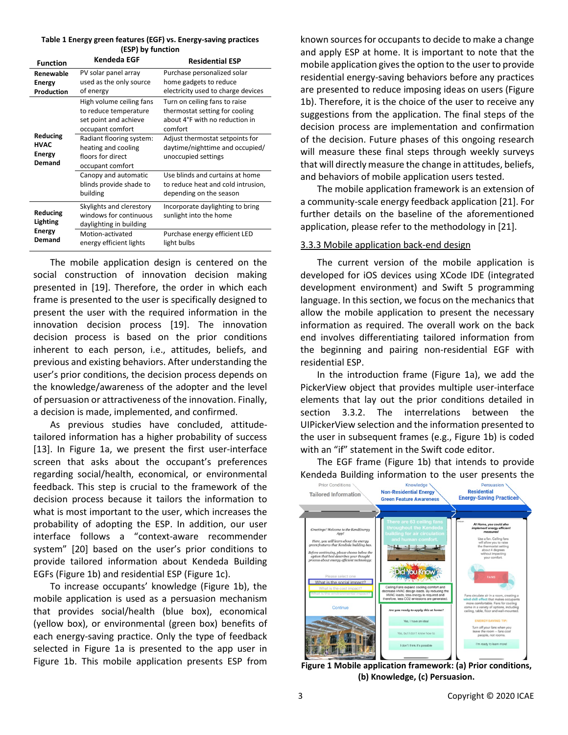| Table 1 Energy green features (EGF) vs. Energy-saving practices |
|-----------------------------------------------------------------|
| (ESP) by function                                               |

| <b>Function</b>                                 | Kendeda EGF                                                                                    | <b>Residential ESP</b>                                                                                       |
|-------------------------------------------------|------------------------------------------------------------------------------------------------|--------------------------------------------------------------------------------------------------------------|
| Renewable<br>Energy<br>Production               | PV solar panel array<br>used as the only source<br>of energy                                   | Purchase personalized solar<br>home gadgets to reduce<br>electricity used to charge devices                  |
| Reducing<br>HVAC<br>Energy<br>Demand            | High volume ceiling fans<br>to reduce temperature<br>set point and achieve<br>occupant comfort | Turn on ceiling fans to raise<br>thermostat setting for cooling<br>about 4°F with no reduction in<br>comfort |
|                                                 | Radiant flooring system:<br>heating and cooling<br>floors for direct<br>occupant comfort       | Adjust thermostat setpoints for<br>daytime/nighttime and occupied/<br>unoccupied settings                    |
|                                                 | Canopy and automatic<br>blinds provide shade to<br>building                                    | Use blinds and curtains at home<br>to reduce heat and cold intrusion,<br>depending on the season             |
| Reducing<br>Lighting<br><b>Energy</b><br>Demand | Skylights and clerestory<br>windows for continuous<br>daylighting in building                  | Incorporate daylighting to bring<br>sunlight into the home                                                   |
|                                                 | Motion-activated<br>energy efficient lights                                                    | Purchase energy efficient LED<br>light bulbs                                                                 |

The mobile application design is centered on the social construction of innovation decision making presented in [19]. Therefore, the order in which each frame is presented to the user is specifically designed to present the user with the required information in the innovation decision process [19]. The innovation decision process is based on the prior conditions inherent to each person, i.e., attitudes, beliefs, and previous and existing behaviors. After understanding the user's prior conditions, the decision process depends on the knowledge/awareness of the adopter and the level of persuasion or attractiveness of the innovation. Finally, a decision is made, implemented, and confirmed.

As previous studies have concluded, attitudetailored information has a higher probability of success [13]. In Figure 1a, we present the first user-interface screen that asks about the occupant's preferences regarding social/health, economical, or environmental feedback. This step is crucial to the framework of the decision process because it tailors the information to what is most important to the user, which increases the probability of adopting the ESP. In addition, our user interface follows a "context-aware recommender system" [20] based on the user's prior conditions to provide tailored information about Kendeda Building EGFs (Figure 1b) and residential ESP (Figure 1c).

To increase occupants' knowledge (Figure 1b), the mobile application is used as a persuasion mechanism that provides social/health (blue box), economical (yellow box), or environmental (green box) benefits of each energy-saving practice. Only the type of feedback selected in Figure 1a is presented to the app user in Figure 1b. This mobile application presents ESP from

known sources for occupants to decide to make a change and apply ESP at home. It is important to note that the mobile application gives the option to the user to provide residential energy-saving behaviors before any practices are presented to reduce imposing ideas on users (Figure 1b). Therefore, it is the choice of the user to receive any suggestions from the application. The final steps of the decision process are implementation and confirmation of the decision. Future phases of this ongoing research will measure these final steps through weekly surveys that will directly measure the change in attitudes, beliefs, and behaviors of mobile application users tested.

The mobile application framework is an extension of a community-scale energy feedback application [21]. For further details on the baseline of the aforementioned application, please refer to the methodology in [21].

#### 3.3.3 Mobile application back-end design

The current version of the mobile application is developed for iOS devices using XCode IDE (integrated development environment) and Swift 5 programming language. In this section, we focus on the mechanics that allow the mobile application to present the necessary information as required. The overall work on the back end involves differentiating tailored information from the beginning and pairing non-residential EGF with residential ESP.

In the introduction frame (Figure 1a), we add the PickerView object that provides multiple user-interface elements that lay out the prior conditions detailed in section 3.3.2. The interrelations between the UIPickerView selection and the information presented to the user in subsequent frames (e.g., Figure 1b) is coded with an "if" statement in the Swift code editor.

The EGF frame (Figure 1b) that intends to provide Kendeda Building information to the user presents the  $P_{\text{prior} \text{Condition}} \setminus P_{\text{prior} \text{Condition}}$ 



 **Figure 1 Mobile application framework: (a) Prior conditions, (b) Knowledge, (c) Persuasion.**